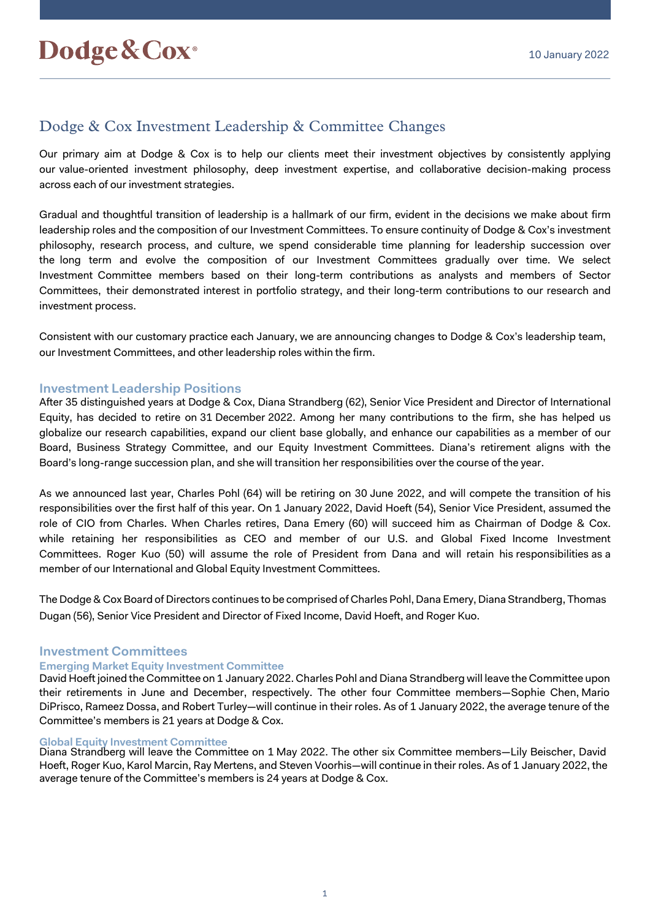# Dodge & Cox Investment Leadership & Committee Changes

Our primary aim at Dodge & Cox is to help our clients meet their investment objectives by consistently applying our value-oriented investment philosophy, deep investment expertise, and collaborative decision-making process across each of our investment strategies.

Gradual and thoughtful transition of leadership is a hallmark of our firm, evident in the decisions we make about firm leadership roles and the composition of our Investment Committees. To ensure continuity of Dodge & Cox's investment philosophy, research process, and culture, we spend considerable time planning for leadership succession over the long term and evolve the composition of our Investment Committees gradually over time. We select Investment Committee members based on their long-term contributions as analysts and members of Sector Committees, their demonstrated interest in portfolio strategy, and their long-term contributions to our research and investment process.

Consistent with our customary practice each January, we are announcing changes to Dodge & Cox's leadership team, our Investment Committees, and other leadership roles within the firm.

#### **Investment Leadership Positions**

After 35 distinguished years at Dodge & Cox, Diana Strandberg (62), Senior Vice President and Director of International Equity, has decided to retire on 31 December 2022. Among her many contributions to the firm, she has helped us globalize our research capabilities, expand our client base globally, and enhance our capabilities as a member of our Board, Business Strategy Committee, and our Equity Investment Committees. Diana's retirement aligns with the Board's long-range succession plan, and she will transition her responsibilities over the course of the year.

As we announced last year, Charles Pohl (64) will be retiring on 30 June 2022, and will compete the transition of his responsibilities over the first half of this year. On 1 January 2022, David Hoeft (54), Senior Vice President, assumed the role of CIO from Charles. When Charles retires, Dana Emery (60) will succeed him as Chairman of Dodge & Cox. while retaining her responsibilities as CEO and member of our U.S. and Global Fixed Income Investment Committees. Roger Kuo (50) will assume the role of President from Dana and will retain his responsibilities as a member of our International and Global Equity Investment Committees.

The Dodge & Cox Board of Directors continues to be comprised of Charles Pohl, Dana Emery, Diana Strandberg, Thomas Dugan (56), Senior Vice President and Director of Fixed Income, David Hoeft, and Roger Kuo.

## **Investment Committees**

#### **Emerging Market Equity Investment Committee**

David Hoeft joined the Committee on 1 January 2022. Charles Pohl and Diana Strandberg will leave the Committee upon their retirements in June and December, respectively. The other four Committee members—Sophie Chen, Mario DiPrisco, Rameez Dossa, and Robert Turley—will continue in their roles. As of 1 January 2022, the average tenure of the Committee's members is 21 years at Dodge & Cox.

#### **Global Equity Investment Committee**

Diana Strandberg will leave the Committee on 1 May 2022. The other six Committee members—Lily Beischer, David Hoeft, Roger Kuo, Karol Marcin, Ray Mertens, and Steven Voorhis—will continue in their roles. As of 1 January 2022, the average tenure of the Committee's members is 24 years at Dodge & Cox.